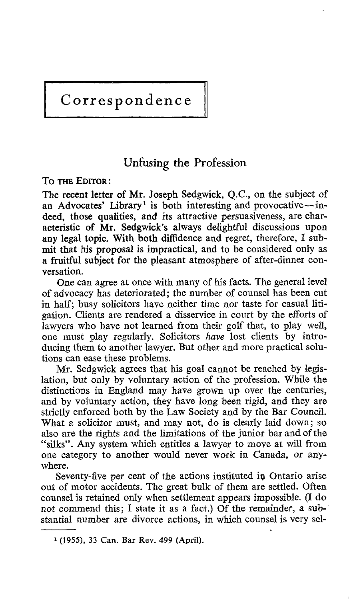# Correspondence

## Unfusing the Profession

TO THE EDITOR:

The recent letter of Mr. Joseph Sedgwick, Q.C., on the subject of an Advocates' Library<sup>1</sup> is both interesting and provocative--indeed, those qualities, and its attractive persuasiveness, are characteristic of Mr. Sedgwick's always delightful discussions upon any legal topic. With both diffidence and regret, therefore, I submit that his proposal is impractical, and to be considered only as a fruitful subject for the pleasant atmosphere of after-dinner conversation.

One can agree at once with many of his facts. The general level of advocacy has deteriorated ; the number of counsel has been cut in half; busy solicitors have neither time nor taste for casual liti gation. Clients are rendered a disservice in court by the efforts of lawyers who have not learned from their golf that, to play well, one must play regularly. Solicitors have lost clients by introducing them to another lawyer. But other and more practical solutions can ease these problems.

Mr. Sedgwick agrees that his goal cannot be reached by legislation, but only by voluntary action of the profession. While the distinctions in England may have grown up over the centuries, and by voluntary action, they have long been rigid, and they are strictly enforced both by the Law Society and by the Bar Council. What a solicitor must, and may not, do is clearly laid down; so also are the rights and the limitations of the junior bar and of the "silks". Any system which entitles a lawyer to move at will from one category to another would never work in Canada, or anywhere.

Seventy-five per cent of the actions instituted in Ontario arise out of motor accidents. The great bulk of them are settled. Often counsel is retained only when settlement appears impossible. (I do not commend this; I state it as a fact.) Of the remainder, a substantial number are divorce actions, in which counsel is very sel-

<sup>&#</sup>x27; (1955), 33 Can. Bar Rev. 499 (April) .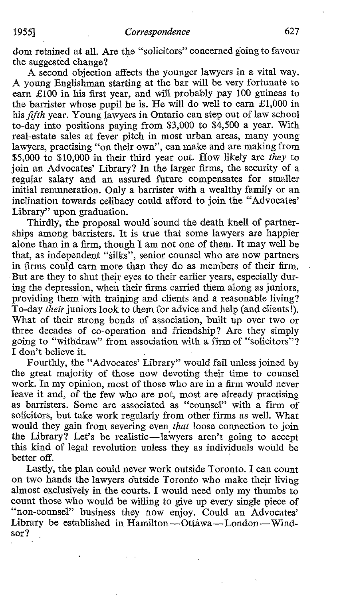dom retained at all. Are the "solicitors" concerned going to favour the suggested change?

A second objection affects the younger lawyers in <sup>a</sup> vital way. A young Englishman starting at the bar will be very fortunate to earn £100 in his first year, and will probably pay 100 guineas to the barrister whose pupil he is. He will do well to earn  $£1,000$  in his fifth year. Young lawyers in Ontario can step out of law school to-day into positions paying from \$3,000 to \$4,500 a year . With real-estate sales at fever pitch in most urban areas, many young lawyers, practising "on their own", can make and are making from \$5,000 to \$10,000 in their third year out. How likely are they to join an Advocates' Library? In the larger firms, the security of a regular salary and an assured future compensates for smaller initial remuneration. Only a barrister with a wealthy family or an inclination towards celibacy could afford to join the "Advocates' Library" upon graduation.

Thirdly, the proposal would sound the death knell of partnerships among barristers. It is true that some lawyers are happier alone than in a firm, though <sup>I</sup> am not one of them. It may well be that, as independent "'silks", senior counsel who are now partners in firms could earn more than they do as members of their firm. But are they to shut their eyes to their earlier years, especially during the depression, when their firms carried them along as juniors, providing them with training and clients and a reasonable living? To-day their juniors look to them for advice and help (and clients!). What of their strong bonds of association, built up over two or three decades of co-operation and friendship? Are they simply going to "withdraw" from association with a firm of "solicitors"? I don't believe it.

Fourthly, the "Advocates' Library" would fail unless joined by the great majority of those now devoting their time to counsel work. In my opinion, most of those who are in a firm would never leave it and, of the few who are not, most are already practising as barristers. Some are associated as "counsel" with a firm of solicitors, but take work regularly from other firms as well. What would they gain from severing even that loose connection to join the Library? Let's be realistic—lawyers aren't going to accept this kind of legal revolution unless they as individuals would be better off.

Lastly, the plan could never work outside Toronto. I can count on two hands the lawyers ôutside Toronto who make their living almost exclusively in the courts . <sup>I</sup> would need only my thumbs to count those who would be willing to give up every single piece of "non-counsel" business they now enjoy. Could an Advocates' Library be established in Hamilton-Ottawa-London-Windsor?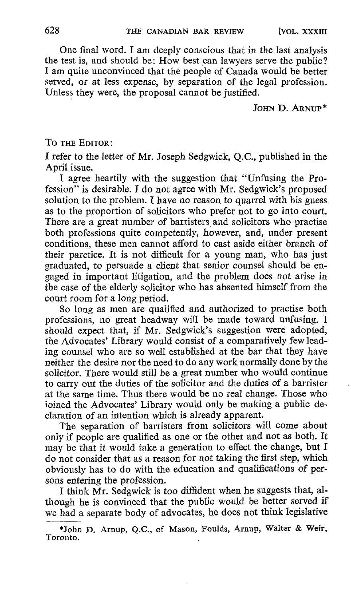One final word. <sup>I</sup> am deeply conscious that in the last analysis the test is, and should be: How best can lawyers serve the public? <sup>I</sup> am quite unconvinced that the people of Canada would be better served, or at less expense, by separation of the legal profession. Unless they were, the proposal cannot be justified.

JOHN D. ARNUP\*

TO THE EDITOR :

<sup>I</sup> refer to the letter of Mr. Joseph Sedgwick, Q.C., published in the April issue.

<sup>I</sup> agree heartily with the suggestion that "Unfusing the Profession" is desirable. <sup>I</sup> do not agree with Mr. Sedgwick's proposed solution to the problem. I have no reason to quarrel with his guess as to the proportion of solicitors who prefer not to go into court. There are a great number of barristers and solicitors who practise both professions quite competently, however, and, under present conditions, these men cannot afford to cast aside either branch of their parctice. It is not difficult for a young man, who has just graduated, to persuade a client that senior counsel should be engaged in important litigation, and the problem does not arise in the case of the elderly solicitor who has absented himself from the court room for a long period.

So long as men are qualified and authorized to practise both professions, no great headway will be made toward unfusing. I should expect that, if Mr. Sedgwick's suggestion were adopted, the Advocates' Library would consist of a comparatively few leading counsel who are so well established at the bar that they have neither the desire nor the need to do any work normally done by the solicitor. There would still be a great number who would continue to carry out the duties of the solicitor and the duties of a barrister at the same time. Thus there would be no real change. Those who ioined the Advocates' Library would only be making a public declaration of an intention which is already apparent.

The separation of barristers from solicitors will come about only if people are qualified as one or the other and not as both. It may be that it would take a generation to effect the change, but I do not consider that as a reason for not taking the first step, which obviously has to do with the education and qualifications of persons entering the profession.

<sup>I</sup> think Mr. Sedgwick is too diffident when he suggests that, although he is convinced that the public would be better served if we had a separate body of advocates, he does not think legislative

<sup>\*</sup>John D. Arnup, Q.C., of Mason, Foulds, Arnup, Walter & Weir, Toronto.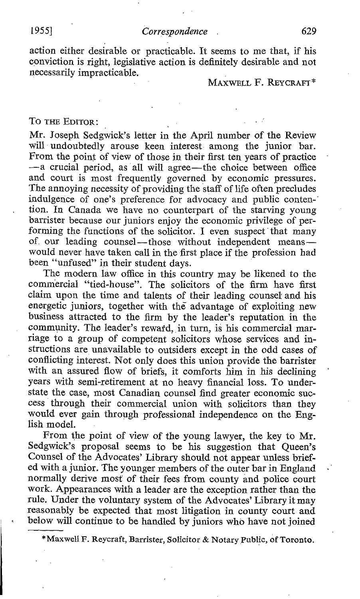action either desirable or practicable. It seems to me that, if his conviction is right, legislative action is definitely desirable and not necessarily impracticable.

#### MAXWELL F. REYCRAFT\*

#### TO THE EDITOR

Mr. Joseph Sedgwick's letter in the April number of the Review will undoubtedly arouse keen interest among the junior bar. From the point of view of those in their first ten years of practice -- a crucial period, as all will agree-the choice between office and court is most frequently governed by economic pressures. The annoying necessity of providing the staff of life often precludes indulgence of one's preference for advocacy and public conten-" tion . In Canada we have no counterpart of the starving young barrister because our juniors enjoy the economic privilege of performing the functions of the solicitor. <sup>I</sup> even suspect that many of our leading counsel—those without independent means would never have taken call in the first place if the profession had been "unfused" in their student days.

The modern law office in this country may be likened to the commercial "tied-house". The solicitors of the firm have first claim upon the time and talents of their leading counsel and his energetic juniors, together with thé advantage of exploiting new business attracted to the firm by the leader's reputation in the community. The leader's reward, in turn, is his commercial marriage to a group of competent solicitors whose services and instructions are unavailable to outsiders except in the odd cases of conflicting interest. Not only does this union provide the barrister with an assured flow of briefs, it comforts him in his declining years with semi-retirement at no heavy financial loss . To understate the case, most Canadian counsel find greater economic success through their commercial union with solicitors than they would ever gain through professional independence on the English model.

From the point of view of the young lawyer, the key to Mr. Sedgwick's proposal seems to be his suggestion that Queen's Counsel of the Advocates' Library should not appear unless brief ed with a junior . The younger members of the outer bar in England normally derive most of their fees from county and police court work. Appearances with a leader are the exception rather than the rule. Under the voluntary system of the Advocates' Library it may reasonably be expected that most litigation in county court and below will continue to be handled by juniors who have not joined

\*Maxwell F. Reycraft, Barrister, Solicitor & Notary Public, of Toronto.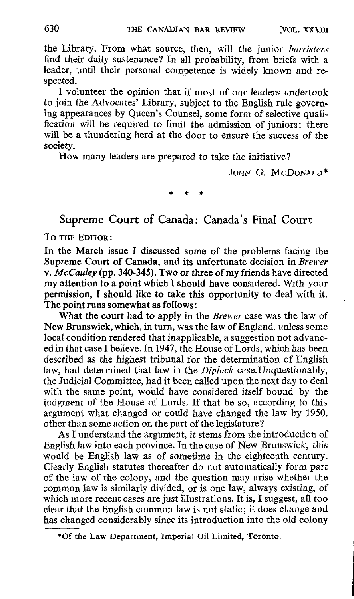the Library. From what source, then, will the junior barristers find their daily sustenance? In all probability, from briefs with a leader, until their personal competence is widely known and respected.

I volunteer the opinion that if most of our leaders undertook to join the Advocates' Library, subject to the English rule governing appearances by Queen's Counsel, some form of selective qualification will be required to limit the admission of juniors: there will be a thundering herd at the door to ensure the success of the society.

How many leaders are prepared to take the initiative?

JOHN G. MCDONALD\*

Supreme Court of Canada: Canada's Final Court

TO THE EDITOR

In the March issue I discussed some of the problems facing the Supreme Court of Canada, and its unfortunate decision in Brewer v. McCauley (pp. 340-345). Two or three of my friends have directed my attention to a point which I should have considered. With your permission. I should like to take this opportunity to deal with it. The point runs somewhat as follows

What the court had to apply in the Brewer case was the law of NewBrunswick, which, in turn, was the law of England, unless some local condition rendered that inapplicable, a suggestion not advanced in that case <sup>I</sup> believe. In 1947, the House of Lords, which has been described as the highest tribunal for the determination of English law, had determined that law in the Diplock case. Unquestionably, the Judicial Committee, had it been called upon the next day to deal with the same point, would have considered itself bound by the judgment of the House of Lords. If that be so, according to this argument what changed or could have changed the law by 1950, other than some action on the part of the legislature?

As I understand the argument, it stems from the introduction of English law into each province. In the case of New Brunswick, this would be English law as of sometime in the eighteenth century. Clearly English statutes thereafter do not automatically form part of the law of the colony, and the question may arise whether the common law is similarly divided, or is one law, always existing, of which more recent cases are just illustrations . It is, I suggest, all too clear that the English common law is not static ; it does change and has changed considerably since its introduction into the old colony

<sup>\*</sup>Of the Law Department, Imperial Oil Limited, Toronto.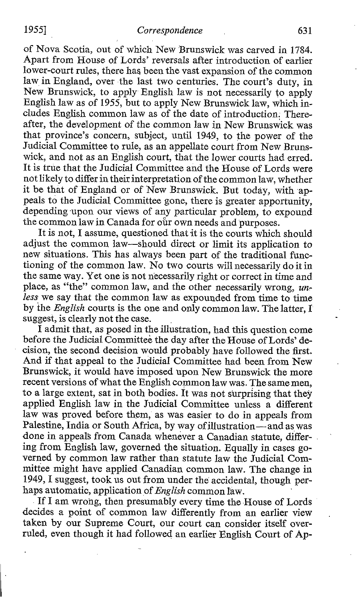of Nova Scotia, out of which New 'Brunswick was carved in 1784. Apart from House of Lords' reversals after introduction of earlier lower-court rules, there has been the vast expansion of the common law in England, over the last two centuries. The court's duty, in New Brunswick, to apply English law is not necessarily to apply English law as of 1955, but to apply New Brunswick law, which includes English common law as of the date of introduction . Thereafter, the development of the common law in New Brunswick was that province's concern, subject, until 1949, to the power of the Judicial Committee to rule, as an appellate court from New Brunswick, and not as an English court, that the lower courts had erred. It is true that the Judicial Committee and the House of Lords were not likely to differ intheir interpretation of the common law, whether it be that of England or of New Brunswick. But today, with appeals to the Judicial Committee gone, there is greater apportunity, depending upon our views of any particular problem, to expound the common law in Canada for our own needs and purposes.

It is not. I assume, questioned that it is the courts which should adjust the common law-should direct or limit its application to new situations. This has always been part of the traditional functioning of the common law. No two courts will necessarily do it in the same way. Yet one is not necessarily right or correct in time and place, as "the" common law, and the other necessarily wrong, unless we say that the common law as expounded from time to time by the English courts is the one and only common law. The latter, <sup>I</sup> suggest, is clearly not the case.

I admit that, as posed in the illustration, had this question come before the Judicial Committeè the day after the House of Lords' decision, the second decision would probably have followed the first. And if that appeal to the Judicial Committee had been from New Brunswick, it would have imposed upon New Brunswick the more recent versions of what the English common law was. The same men, to a large extent, sat in both bodies . it was not surprising that they applied English law in the Judicial Committee unless a different law was proved before them, as was easier to do in appeals from Palestine, India or South Africa, by way of illustration—and as was done in appeals from Canada whenever a Canadian statute, differing from English law, governed the situation. Equally in cases governed by common law rather than statute law the Judicial Committee might have applied Canadian common law. The change in 1949, I suggest, took us out from under the accidental, though perhaps automatic, application of  $English common$  law.

If <sup>I</sup> am wrong, then presumably every time the House of Lords decides a point of common law differently from an earlier view taken by our Supreme Court, our court can consider itself over ruled, even though it had followed an earlier English Court of Ap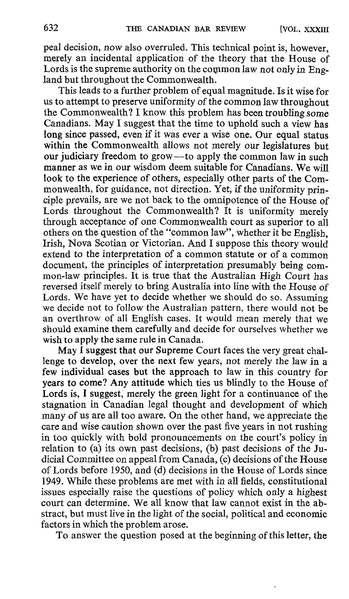peal decision, now also overruled. This technical point is, however, merely an incidental application of the theory that the House of Lords is the supreme authority on the common law not only in  $E_n$ . land but throughout the Commonwealth.

This leads to a further problem of equal magnitude. Is it wise for us to attempt to preserve uniformity of the common law throughout the Commonwealth? <sup>I</sup> know this problem has been troubling some Canadians. May <sup>I</sup> suggest that the time to uphold such <sup>a</sup> view has long since passed, even if it was ever a wise one. Our equal status within the Commonwealth allows not merely our legislatures but our judiciary freedom to grow-to apply the common law in such manner as we in our wisdom deem suitable for Canadians. We will look to the experience of others, especially other parts of the Commonwealth, for guidance, not direction. Yet, if the uniformity principle prevails, are we not back to the omnipotence of the House of Lords throughout the Commonwealth? It is uniformity merely through acceptance of one Commonwealth court as superior to all others on the question ofthe "common law", whether it be English, Irish, Nova Scotian or Victorian. And <sup>I</sup> suppose this theory would extend to the interpretation of <sup>a</sup> common statute or of <sup>a</sup> common document, the principles of interpretation presumably being common-law principles. It is true that the Australian High Court has reversed itself merely to bring Australia into line with the House of Lords. We have yet to decide whether we should do so. Assuming we decide not to follow the Australian pattern, there would not be an overthrow of all English cases. It would mean merely that we should examine them carefully and decide for ourselves whether we wish to apply the same rule in Canada.

May I suggest that our Supreme Court faces the very great challenge to develop, over the next few years, not merely the law in a few individual cases but the approach to law in this country for years to come? Any attitude which ties us blindly to the House of Lords is, <sup>I</sup> suggest; merely the green light for a continuance of the stagnation in Canadian legal thought and development of which many of us are all too aware. On the other hand, we appreciate the care and wise caution shown over the past five years in not rushing in too quickly with bold pronouncements on the court's policy in relation to (a) its own past decisions, (b) past decisions of the Judicial Committee on appeal from Canada, (c) decisions of the House of Lords before 1950, and (d) decisions in the House of Lords since 1949. While these problems are met with in all fields, constitutional issues especially raise the questions of policy which only a highest court can determine. We all know that law cannot exist in the abstract, but must live in the light of the social, political and economic factors in which the problem arose.

To answer the question posed at the beginning of this letter, the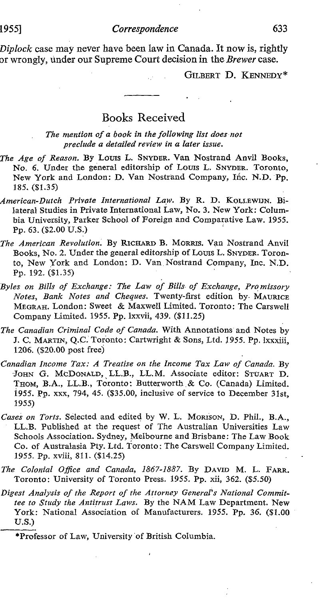#### 1955] Correspondence 633

Diplock case may never have been law in Canada. It now is, rightly or wrongly, under our Supreme Court decision in the Brewer case.

GILBERT D. KENNEDY\*

### Books Received

The mention of a book in the following list does not preclude a detailed review in a later issue .

- The Age of Reason. By Louis L. SNYDER. Van Nostrand Anvil Books, No. 6. Under the general editorship of Louis L. SNYDER. Toronto, New York and London: D. Van Nostrand Company, Inc. N.D. Pp. 185. (\$1 .35)
- American-Dutch Private International Law. By R. D. KOLLEWIJN. Bilateral Studies in Private International Law, No. 3. New York: Columbia University, Parker School of Foreign and Comparative Law. 1955. Pp. 63. (\$2.00 U.S.)
- The American Revolution. By RICHARD B. MORRIS. Van Nostrand Anvil Books, No. 2. Under the general editorship of Louis L. SNYDER. Toronto, New York and London: D. Van, Nostrand Company, Inc. N.D. Pp. 192. (\$1.35)
- Byles on Bills of Exchange: The Law of Bills of Exchange, Promissory Notes, Bank Notes and Cheques. Twenty-first edition by MAURICE MEGRAH. London: Sweet & Maxwell Limited. Toronto : The Carswell Company Limited. 1955. Pp. lxxvii, 439. (\$11.25)
- The Canadian Criminal Code of Canada. With Annotations and Notes by 7. C. MARTIN, Q.Ç: Torônto : Cartwright & Sons, Ltd. 1955. Pp. lxxxiii, 1206. (\$20.00 post free)
- Canadian Income Tax: A Treatise on the Income Tax Law of Canada. By JOHN G. McDONALD, LL.B., LL.M. Associate editor: STUART D. THOM, B.A., LL.B., Toronto: Butterworth & Co. (Canada) Limited. 1955. Pp. xxx, 794, 45. (\$35.00, inclusive of service to December 31st, 1955)
- Cases on Torts. Selected and edited by W. L. MORISON, D. Phil., B.A., LL.B. Published at the request of The Australian Universities Law Schools Association. Sydney, Melbourne and Brisbane: The Law Book Co. of Australasia Pty. Ltd. Toronto : The Carswell Company Limited. 1955. Pp. xviii, 811 . (\$14.25)
- The Colonial Office and Canada, 1867-1887. By DAVID M. L. FARR. Toronto: University of Toronto Press. 1955. Pp. xii, 362. (\$5.50)
- Digest Analysis of the Report of the Attorney General's National Committee to Study the Antitrust Laws. By the NAM Law Department. New York: National Association of Manufacturers. 1955. Pp. 36. (\$1.00  $U.S.$

\*Professor of Law, University of British Columbia.